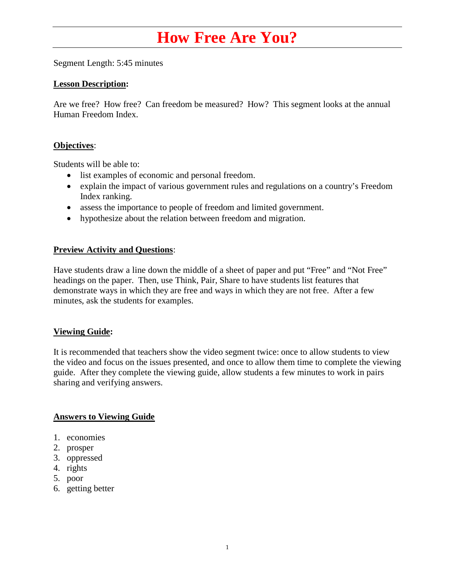# **How Free Are You?**

Segment Length: 5:45 minutes

#### **Lesson Description:**

Are we free? How free? Can freedom be measured? How? This segment looks at the annual Human Freedom Index.

#### **Objectives**:

Students will be able to:

- list examples of economic and personal freedom.
- explain the impact of various government rules and regulations on a country's Freedom Index ranking.
- assess the importance to people of freedom and limited government.
- hypothesize about the relation between freedom and migration.

#### **Preview Activity and Questions**:

Have students draw a line down the middle of a sheet of paper and put "Free" and "Not Free" headings on the paper. Then, use Think, Pair, Share to have students list features that demonstrate ways in which they are free and ways in which they are not free. After a few minutes, ask the students for examples.

#### **Viewing Guide:**

It is recommended that teachers show the video segment twice: once to allow students to view the video and focus on the issues presented, and once to allow them time to complete the viewing guide. After they complete the viewing guide, allow students a few minutes to work in pairs sharing and verifying answers.

#### **Answers to Viewing Guide**

- 1. economies
- 2. prosper
- 3. oppressed
- 4. rights
- 5. poor
- 6. getting better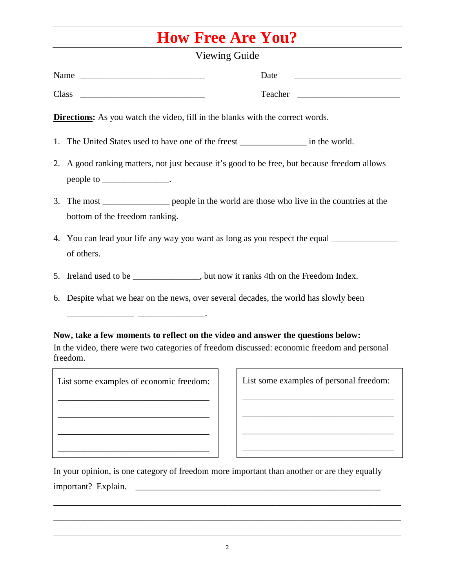# **How Free Are You?**

| <b>Viewing Guide</b> |                                                                                                                                |  |  |  |  |
|----------------------|--------------------------------------------------------------------------------------------------------------------------------|--|--|--|--|
|                      | Date<br><u> 1989 - Johann Barn, fransk politik fotograf (d. 1989)</u>                                                          |  |  |  |  |
|                      | $Class \begin{tabular}{c} \hline \textbf{Class} \end{tabular}$                                                                 |  |  |  |  |
|                      | <b>Directions:</b> As you watch the video, fill in the blanks with the correct words.                                          |  |  |  |  |
|                      | 1. The United States used to have one of the freest ___________________ in the world.                                          |  |  |  |  |
|                      | 2. A good ranking matters, not just because it's good to be free, but because freedom allows<br>$people to \_$ .               |  |  |  |  |
|                      | 3. The most _________________ people in the world are those who live in the countries at the<br>bottom of the freedom ranking. |  |  |  |  |
|                      | 4. You can lead your life any way you want as long as you respect the equal ________________________<br>of others.             |  |  |  |  |
|                      | 5. Ireland used to be ______________, but now it ranks 4th on the Freedom Index.                                               |  |  |  |  |
|                      | 6. Despite what we hear on the news, over several decades, the world has slowly been                                           |  |  |  |  |
|                      | Now, take a few moments to reflect on the video and answer the questions below:                                                |  |  |  |  |
|                      | In the video, there were two categories of freedom discussed: economic freedom and personal                                    |  |  |  |  |

freedom.

| List some examples of economic freedom: |  |  |  |  |  |
|-----------------------------------------|--|--|--|--|--|
|                                         |  |  |  |  |  |
|                                         |  |  |  |  |  |
|                                         |  |  |  |  |  |
|                                         |  |  |  |  |  |
|                                         |  |  |  |  |  |

List some examples of personal freedom:

\_\_\_\_\_\_\_\_\_\_\_\_\_\_\_\_\_\_\_\_\_\_\_\_\_\_\_\_\_\_\_\_\_\_

\_\_\_\_\_\_\_\_\_\_\_\_\_\_\_\_\_\_\_\_\_\_\_\_\_\_\_\_\_\_\_\_\_\_

\_\_\_\_\_\_\_\_\_\_\_\_\_\_\_\_\_\_\_\_\_\_\_\_\_\_\_\_\_\_\_\_\_\_

In your opinion, is one category of freedom more important than another or are they equally important? Explain. \_\_\_\_\_\_\_\_\_\_\_\_\_\_\_\_\_\_\_\_\_\_\_\_\_\_\_\_\_\_\_\_\_\_\_\_\_\_\_\_\_\_\_\_\_\_\_\_\_\_\_\_\_\_\_

\_\_\_\_\_\_\_\_\_\_\_\_\_\_\_\_\_\_\_\_\_\_\_\_\_\_\_\_\_\_\_\_\_\_\_\_\_\_\_\_\_\_\_\_\_\_\_\_\_\_\_\_\_\_\_\_\_\_\_\_\_\_\_\_\_\_\_\_\_\_\_\_\_\_\_\_\_\_

\_\_\_\_\_\_\_\_\_\_\_\_\_\_\_\_\_\_\_\_\_\_\_\_\_\_\_\_\_\_\_\_\_\_\_\_\_\_\_\_\_\_\_\_\_\_\_\_\_\_\_\_\_\_\_\_\_\_\_\_\_\_\_\_\_\_\_\_\_\_\_\_\_\_\_\_\_\_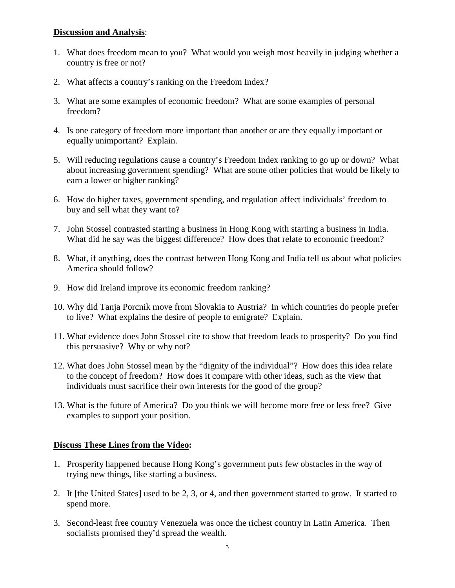#### **Discussion and Analysis**:

- 1. What does freedom mean to you? What would you weigh most heavily in judging whether a country is free or not?
- 2. What affects a country's ranking on the Freedom Index?
- 3. What are some examples of economic freedom? What are some examples of personal freedom?
- 4. Is one category of freedom more important than another or are they equally important or equally unimportant? Explain.
- 5. Will reducing regulations cause a country's Freedom Index ranking to go up or down? What about increasing government spending? What are some other policies that would be likely to earn a lower or higher ranking?
- 6. How do higher taxes, government spending, and regulation affect individuals' freedom to buy and sell what they want to?
- 7. John Stossel contrasted starting a business in Hong Kong with starting a business in India. What did he say was the biggest difference? How does that relate to economic freedom?
- 8. What, if anything, does the contrast between Hong Kong and India tell us about what policies America should follow?
- 9. How did Ireland improve its economic freedom ranking?
- 10. Why did Tanja Porcnik move from Slovakia to Austria? In which countries do people prefer to live? What explains the desire of people to emigrate? Explain.
- 11. What evidence does John Stossel cite to show that freedom leads to prosperity? Do you find this persuasive? Why or why not?
- 12. What does John Stossel mean by the "dignity of the individual"? How does this idea relate to the concept of freedom? How does it compare with other ideas, such as the view that individuals must sacrifice their own interests for the good of the group?
- 13. What is the future of America? Do you think we will become more free or less free? Give examples to support your position.

#### **Discuss These Lines from the Video:**

- 1. Prosperity happened because Hong Kong's government puts few obstacles in the way of trying new things, like starting a business.
- 2. It [the United States] used to be 2, 3, or 4, and then government started to grow. It started to spend more.
- 3. Second-least free country Venezuela was once the richest country in Latin America. Then socialists promised they'd spread the wealth.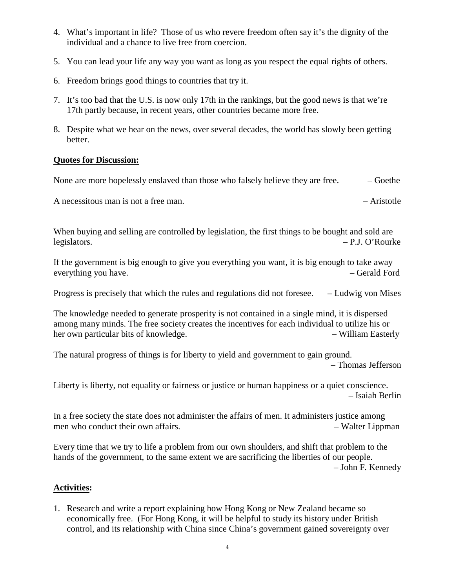- 4. What's important in life? Those of us who revere freedom often say it's the dignity of the individual and a chance to live free from coercion.
- 5. You can lead your life any way you want as long as you respect the equal rights of others.
- 6. Freedom brings good things to countries that try it.
- 7. It's too bad that the U.S. is now only 17th in the rankings, but the good news is that we're 17th partly because, in recent years, other countries became more free.
- 8. Despite what we hear on the news, over several decades, the world has slowly been getting better.

#### **Quotes for Discussion:**

None are more hopelessly enslaved than those who falsely believe they are free.  $\overline{\phantom{a}}$  – Goethe

A necessitous man is not a free man.  $\overline{a}$  A necessitous man is not a free man.

When buying and selling are controlled by legislation, the first things to be bought and sold are legislators. – P.J. O'Rourke

If the government is big enough to give you everything you want, it is big enough to take away everything you have. – Gerald Ford

Progress is precisely that which the rules and regulations did not foresee. – Ludwig von Mises

The knowledge needed to generate prosperity is not contained in a single mind, it is dispersed among many minds. The free society creates the incentives for each individual to utilize his or her own particular bits of knowledge.  $-$  William Easterly

The natural progress of things is for liberty to yield and government to gain ground. – Thomas Jefferson

Liberty is liberty, not equality or fairness or justice or human happiness or a quiet conscience. – Isaiah Berlin

In a free society the state does not administer the affairs of men. It administers justice among men who conduct their own affairs.  $-$  Walter Lippman

Every time that we try to life a problem from our own shoulders, and shift that problem to the hands of the government, to the same extent we are sacrificing the liberties of our people. – John F. Kennedy

#### **Activities:**

1. Research and write a report explaining how Hong Kong or New Zealand became so economically free. (For Hong Kong, it will be helpful to study its history under British control, and its relationship with China since China's government gained sovereignty over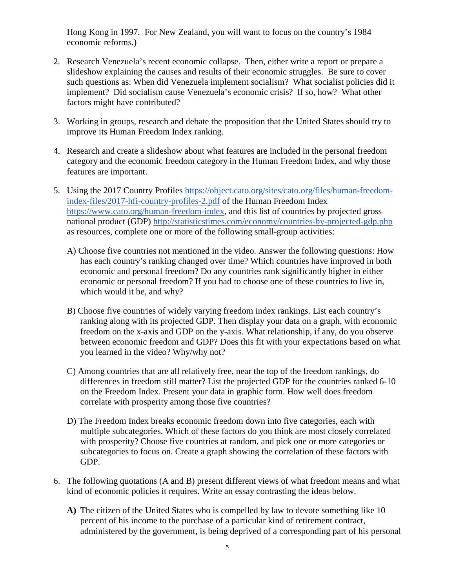Hong Kong in 1997. For New Zealand, you will want to focus on the country's 1984 economic reforms.)

- 2. Research Venezuela's recent economic collapse. Then, either write a report or prepare a slideshow explaining the causes and results of their economic struggles. Be sure to cover such questions as: When did Venezuela implement socialism? What socialist policies did it implement? Did socialism cause Venezuela's economic crisis? If so, how? What other factors might have contributed?
- 3. Working in groups, research and debate the proposition that the United States should try to improve its Human Freedom Index ranking.
- 4. Research and create a slideshow about what features are included in the personal freedom category and the economic freedom category in the Human Freedom Index, and why those features are important.
- 5. Using the 2017 Country Profiles [https://object.cato.org/sites/cato.org/files/human-freedom](https://object.cato.org/sites/cato.org/files/human-freedom-index-files/2017-hfi-country-profiles-2.pdf)[index-files/2017-hfi-country-profiles-2.pdf](https://object.cato.org/sites/cato.org/files/human-freedom-index-files/2017-hfi-country-profiles-2.pdf) of the Human Freedom Index [https://www.cato.org/human-freedom-index,](https://www.cato.org/human-freedom-index) and this list of countries by projected gross national product (GDP)<http://statisticstimes.com/economy/countries-by-projected-gdp.php> as resources, complete one or more of the following small-group activities:
	- A) Choose five countries not mentioned in the video. Answer the following questions: How has each country's ranking changed over time? Which countries have improved in both economic and personal freedom? Do any countries rank significantly higher in either economic or personal freedom? If you had to choose one of these countries to live in, which would it be, and why?
	- B) Choose five countries of widely varying freedom index rankings. List each country's ranking along with its projected GDP. Then display your data on a graph, with economic freedom on the x-axis and GDP on the y-axis. What relationship, if any, do you observe between economic freedom and GDP? Does this fit with your expectations based on what you learned in the video? Why/why not?
	- C) Among countries that are all relatively free, near the top of the freedom rankings, do differences in freedom still matter? List the projected GDP for the countries ranked 6-10 on the Freedom Index. Present your data in graphic form. How well does freedom correlate with prosperity among those five countries?
	- D) The Freedom Index breaks economic freedom down into five categories, each with multiple subcategories. Which of these factors do you think are most closely correlated with prosperity? Choose five countries at random, and pick one or more categories or subcategories to focus on. Create a graph showing the correlation of these factors with GDP.
- 6. The following quotations (A and B) present different views of what freedom means and what kind of economic policies it requires. Write an essay contrasting the ideas below.
	- **A)** The citizen of the United States who is compelled by law to devote something like 10 percent of his income to the purchase of a particular kind of retirement contract, administered by the government, is being deprived of a corresponding part of his personal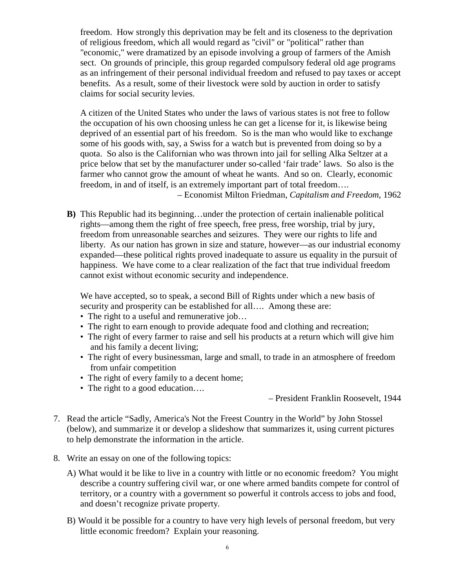freedom. How strongly this deprivation may be felt and its closeness to the deprivation of religious freedom, which all would regard as "civil" or "political" rather than "economic," were dramatized by an episode involving a group of farmers of the Amish sect. On grounds of principle, this group regarded compulsory federal old age programs as an infringement of their personal individual freedom and refused to pay taxes or accept benefits. As a result, some of their livestock were sold by auction in order to satisfy claims for social security levies.

A citizen of the United States who under the laws of various states is not free to follow the occupation of his own choosing unless he can get a license for it, is likewise being deprived of an essential part of his freedom. So is the man who would like to exchange some of his goods with, say, a Swiss for a watch but is prevented from doing so by a quota. So also is the Californian who was thrown into jail for selling Alka Seltzer at a price below that set by the manufacturer under so-called 'fair trade' laws. So also is the farmer who cannot grow the amount of wheat he wants. And so on. Clearly, economic freedom, in and of itself, is an extremely important part of total freedom….

– Economist Milton Friedman, *Capitalism and Freedom*, 1962

**B)** This Republic had its beginning…under the protection of certain inalienable political rights—among them the right of free speech, free press, free worship, trial by jury, freedom from unreasonable searches and seizures. They were our rights to life and liberty. As our nation has grown in size and stature, however—as our industrial economy expanded—these political rights proved inadequate to assure us equality in the pursuit of happiness. We have come to a clear realization of the fact that true individual freedom cannot exist without economic security and independence.

We have accepted, so to speak, a second Bill of Rights under which a new basis of security and prosperity can be established for all.... Among these are:

- The right to a useful and remunerative job...
- The right to earn enough to provide adequate food and clothing and recreation;
- The right of every farmer to raise and sell his products at a return which will give him and his family a decent living;
- The right of every businessman, large and small, to trade in an atmosphere of freedom from unfair competition
- The right of every family to a decent home;
- The right to a good education....

– President Franklin Roosevelt, 1944

- 7. Read the article "Sadly, America's Not the Freest Country in the World" by John Stossel (below), and summarize it or develop a slideshow that summarizes it, using current pictures to help demonstrate the information in the article.
- 8. Write an essay on one of the following topics:
	- A) What would it be like to live in a country with little or no economic freedom? You might describe a country suffering civil war, or one where armed bandits compete for control of territory, or a country with a government so powerful it controls access to jobs and food, and doesn't recognize private property.
	- B) Would it be possible for a country to have very high levels of personal freedom, but very little economic freedom? Explain your reasoning.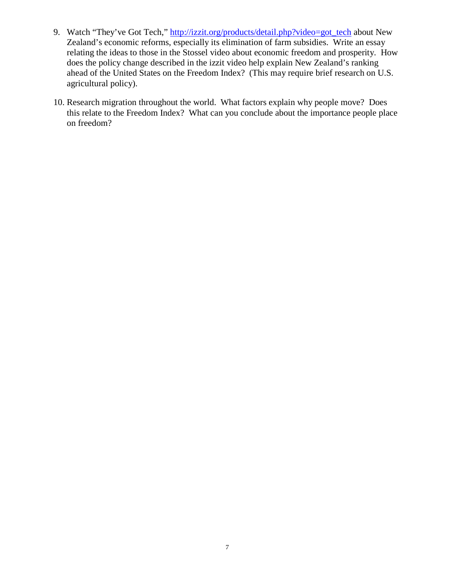- 9. Watch "They've Got Tech," [http://izzit.org/products/detail.php?video=got\\_tech](http://izzit.org/products/detail.php?video=got_tech) about New Zealand's economic reforms, especially its elimination of farm subsidies. Write an essay relating the ideas to those in the Stossel video about economic freedom and prosperity. How does the policy change described in the izzit video help explain New Zealand's ranking ahead of the United States on the Freedom Index? (This may require brief research on U.S. agricultural policy).
- 10. Research migration throughout the world. What factors explain why people move? Does this relate to the Freedom Index? What can you conclude about the importance people place on freedom?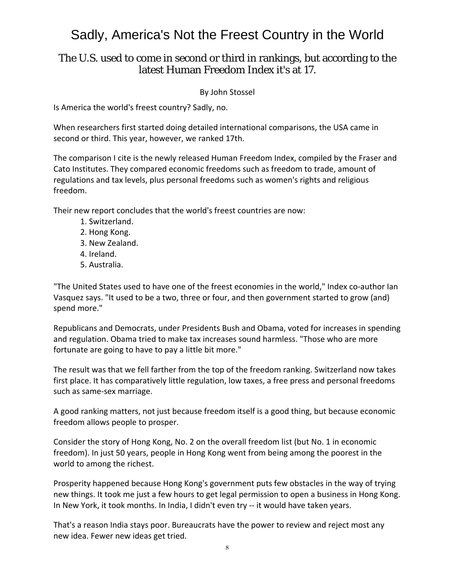## Sadly, [America's](https://reason.com/archives/2018/01/31/sadly-americas-not-the-freest-country-in) Not the Freest Country in the World

### The U.S. used to come in second or third in rankings, but according to the latest Human Freedom Index it's at 17.

By John Stossel

Is America the world's freest country? Sadly, no.

When researchers first started doing detailed international comparisons, the USA came in second or third. This year, however, we ranked 17th.

The comparison I cite is the newly released Human Freedom Index, compiled by the Fraser and Cato Institutes. They compared economic freedoms such as freedom to trade, amount of regulations and tax levels, plus personal freedoms such as women's rights and religious freedom.

Their new report concludes that the world's freest countries are now:

- 1. Switzerland.
- 2. Hong Kong.
- 3. New Zealand.
- 4. Ireland.
- 5. Australia.

"The United States used to have one of the freest economies in the world," Index co-author Ian Vasquez says. "It used to be a two, three or four, and then government started to grow (and) spend more."

Republicans and Democrats, under Presidents Bush and Obama, voted for increases in spending and regulation. Obama tried to make tax increases sound harmless. "Those who are more fortunate are going to have to pay a little bit more."

The result was that we fell farther from the top of the freedom ranking. Switzerland now takes first place. It has comparatively little regulation, low taxes, a free press and personal freedoms such as same-sex marriage.

A good ranking matters, not just because freedom itself is a good thing, but because economic freedom allows people to prosper.

Consider the story of Hong Kong, No. 2 on the overall freedom list (but No. 1 in economic freedom). In just 50 years, people in Hong Kong went from being among the poorest in the world to among the richest.

Prosperity happened because Hong Kong's government puts few obstacles in the way of trying new things. It took me just a few hours to get legal permission to open a business in Hong Kong. In New York, it took months. In India, I didn't even try -- it would have taken years.

That's a reason India stays poor. Bureaucrats have the power to review and reject most any new idea. Fewer new ideas get tried.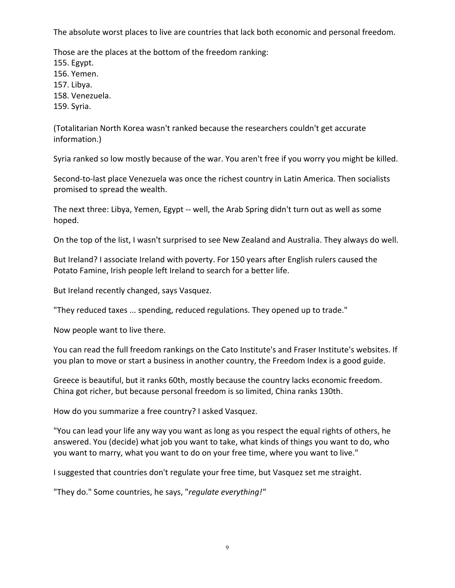The absolute worst places to live are countries that lack both economic and personal freedom.

Those are the places at the bottom of the freedom ranking: 155. Egypt. 156. Yemen. 157. Libya. 158. Venezuela. 159. Syria.

(Totalitarian North Korea wasn't ranked because the researchers couldn't get accurate information.)

Syria ranked so low mostly because of the war. You aren't free if you worry you might be killed.

Second-to-last place Venezuela was once the richest country in Latin America. Then socialists promised to spread the wealth.

The next three: Libya, Yemen, Egypt -- well, the Arab Spring didn't turn out as well as some hoped.

On the top of the list, I wasn't surprised to see New Zealand and Australia. They always do well.

But Ireland? I associate Ireland with poverty. For 150 years after English rulers caused the Potato Famine, Irish people left Ireland to search for a better life.

But Ireland recently changed, says Vasquez.

"They reduced taxes ... spending, reduced regulations. They opened up to trade."

Now people want to live there.

You can read the full freedom rankings on the Cato Institute's and Fraser Institute's websites. If you plan to move or start a business in another country, the Freedom Index is a good guide.

Greece is beautiful, but it ranks 60th, mostly because the country lacks economic freedom. China got richer, but because personal freedom is so limited, China ranks 130th.

How do you summarize a free country? I asked Vasquez.

"You can lead your life any way you want as long as you respect the equal rights of others, he answered. You (decide) what job you want to take, what kinds of things you want to do, who you want to marry, what you want to do on your free time, where you want to live."

I suggested that countries don't regulate your free time, but Vasquez set me straight.

"They do." Some countries, he says, "*regulate everything!"*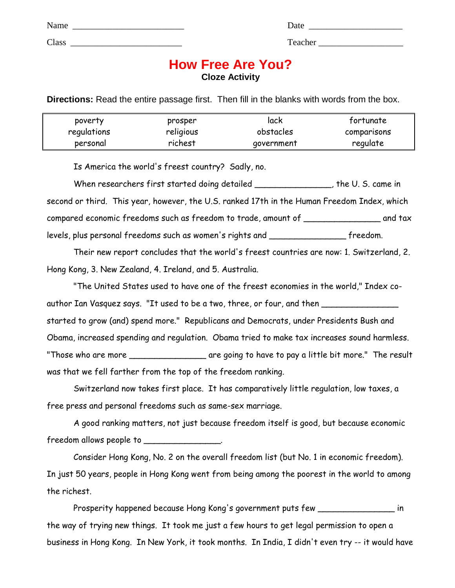| <b>NT</b> | $\lambda$    |
|-----------|--------------|
| Name      | Dalt         |
| Class     | $\mathbf{H}$ |

### **How Free Are You? Cloze Activity**

**Directions:** Read the entire passage first. Then fill in the blanks with words from the box.

| poverty     | prosper   | lack       | tortunate   |
|-------------|-----------|------------|-------------|
| regulations | religious | obstacles  | comparisons |
| personal    | richest   | government | regulate    |

Is America the world's freest country? Sadly, no.

When researchers first started doing detailed \_\_\_\_\_\_\_\_\_\_\_\_\_\_\_, the U.S. came in second or third. This year, however, the U.S. ranked 17th in the Human Freedom Index, which compared economic freedoms such as freedom to trade, amount of \_\_\_\_\_\_\_\_\_\_\_\_\_\_\_ and tax levels, plus personal freedoms such as women's rights and \_\_\_\_\_\_\_\_\_\_\_\_\_\_\_ freedom.

Their new report concludes that the world's freest countries are now: 1. Switzerland, 2. Hong Kong, 3. New Zealand, 4. Ireland, and 5. Australia.

"The United States used to have one of the freest economies in the world," Index coauthor Ian Vasquez says. "It used to be a two, three, or four, and then started to grow (and) spend more." Republicans and Democrats, under Presidents Bush and Obama, increased spending and regulation. Obama tried to make tax increases sound harmless. "Those who are more \_\_\_\_\_\_\_\_\_\_\_\_\_\_\_ are going to have to pay a little bit more." The result was that we fell farther from the top of the freedom ranking.

Switzerland now takes first place. It has comparatively little regulation, low taxes, a free press and personal freedoms such as same-sex marriage.

A good ranking matters, not just because freedom itself is good, but because economic freedom allows people to \_\_\_\_\_\_\_\_\_\_\_\_\_\_\_.

Consider Hong Kong, No. 2 on the overall freedom list (but No. 1 in economic freedom). In just 50 years, people in Hong Kong went from being among the poorest in the world to among the richest.

Prosperity happened because Hong Kong's government puts few \_\_\_\_\_\_\_\_\_\_\_\_\_\_\_\_\_\_\_\_ in the way of trying new things. It took me just a few hours to get legal permission to open a business in Hong Kong. In New York, it took months. In India, I didn't even try -- it would have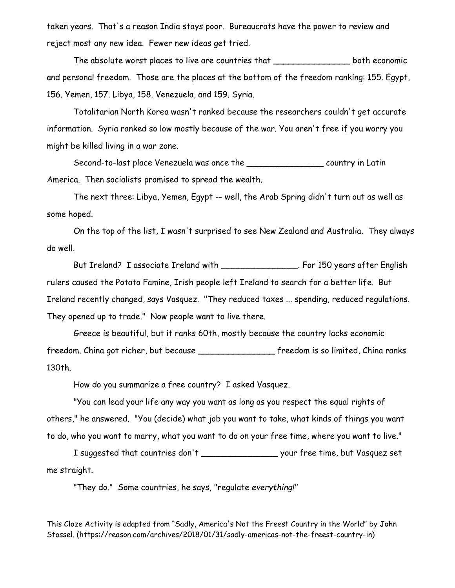taken years. That's a reason India stays poor. Bureaucrats have the power to review and reject most any new idea. Fewer new ideas get tried.

The absolute worst places to live are countries that \_\_\_\_\_\_\_\_\_\_\_\_\_\_\_\_\_\_\_\_\_both economic and personal freedom. Those are the places at the bottom of the freedom ranking: 155. Egypt, 156. Yemen, 157. Libya, 158. Venezuela, and 159. Syria.

Totalitarian North Korea wasn't ranked because the researchers couldn't get accurate information. Syria ranked so low mostly because of the war. You aren't free if you worry you might be killed living in a war zone.

Second-to-last place Venezuela was once the \_\_\_\_\_\_\_\_\_\_\_\_\_\_\_\_\_\_\_\_\_\_ country in Latin America. Then socialists promised to spread the wealth.

The next three: Libya, Yemen, Egypt -- well, the Arab Spring didn't turn out as well as some hoped.

On the top of the list, I wasn't surprised to see New Zealand and Australia. They always do well.

But Ireland? I associate Ireland with \_\_\_\_\_\_\_\_\_\_\_\_\_\_\_\_. For 150 years after English rulers caused the Potato Famine, Irish people left Ireland to search for a better life. But Ireland recently changed, says Vasquez. "They reduced taxes ... spending, reduced regulations. They opened up to trade." Now people want to live there.

Greece is beautiful, but it ranks 60th, mostly because the country lacks economic freedom. China got richer, but because \_\_\_\_\_\_\_\_\_\_\_\_\_\_\_\_\_\_\_\_\_freedom is so limited, China ranks 130th.

How do you summarize a free country? I asked Vasquez.

"You can lead your life any way you want as long as you respect the equal rights of others," he answered. "You (decide) what job you want to take, what kinds of things you want to do, who you want to marry, what you want to do on your free time, where you want to live."

I suggested that countries don't \_\_\_\_\_\_\_\_\_\_\_\_\_\_\_ your free time, but Vasquez set me straight.

"They do." Some countries, he says, "regulate *everything!"*

This Cloze Activity is adapted from "Sadly, America's Not the Freest Country in the World" by John Stossel. (https://reason.com/archives/2018/01/31/sadly-americas-not-the-freest-country-in)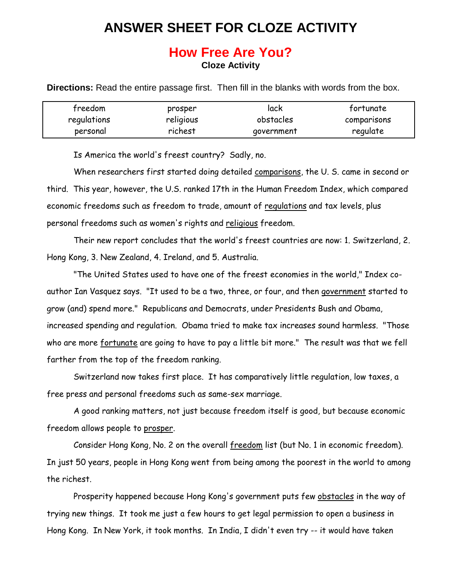## **ANSWER SHEET FOR CLOZE ACTIVITY**

### **How Free Are You? Cloze Activity**

**Directions:** Read the entire passage first. Then fill in the blanks with words from the box.

| treedom     | prosper   | lack       | fortunate   |
|-------------|-----------|------------|-------------|
| regulations | religious | obstacles  | comparisons |
| personal    | richest   | government | regulate    |

Is America the world's freest country? Sadly, no.

When researchers first started doing detailed comparisons, the U. S. came in second or third. This year, however, the U.S. ranked 17th in the Human Freedom Index, which compared economic freedoms such as freedom to trade, amount of regulations and tax levels, plus personal freedoms such as women's rights and religious freedom.

Their new report concludes that the world's freest countries are now: 1. Switzerland, 2. Hong Kong, 3. New Zealand, 4. Ireland, and 5. Australia.

"The United States used to have one of the freest economies in the world," Index coauthor Ian Vasquez says. "It used to be a two, three, or four, and then government started to grow (and) spend more." Republicans and Democrats, under Presidents Bush and Obama, increased spending and regulation. Obama tried to make tax increases sound harmless. "Those who are more fortunate are going to have to pay a little bit more." The result was that we fell farther from the top of the freedom ranking.

Switzerland now takes first place. It has comparatively little regulation, low taxes, a free press and personal freedoms such as same-sex marriage.

A good ranking matters, not just because freedom itself is good, but because economic freedom allows people to prosper.

Consider Hong Kong, No. 2 on the overall freedom list (but No. 1 in economic freedom). In just 50 years, people in Hong Kong went from being among the poorest in the world to among the richest.

Prosperity happened because Hong Kong's government puts few obstacles in the way of trying new things. It took me just a few hours to get legal permission to open a business in Hong Kong. In New York, it took months. In India, I didn't even try -- it would have taken